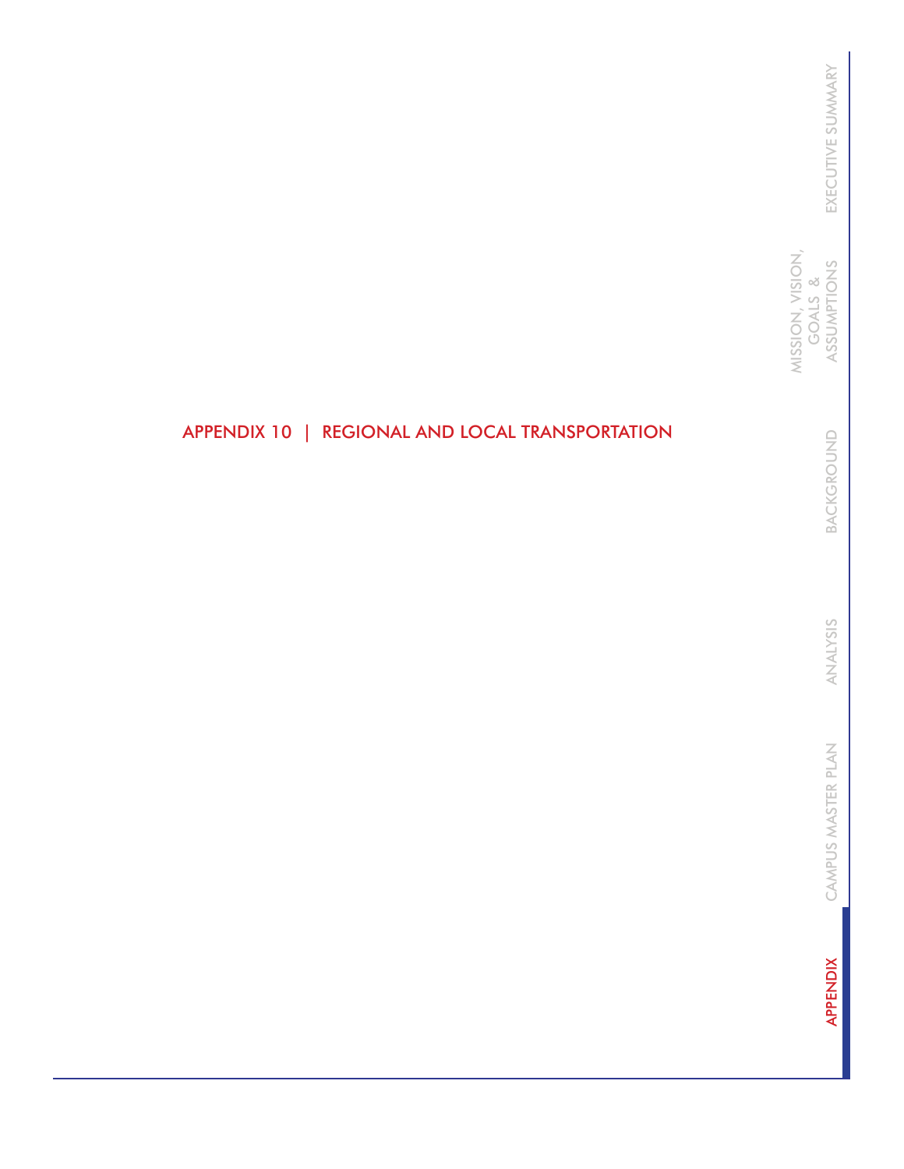MISSION, VISION, MISSION, VISION, GOALS & ASSUMPTIONS GOALS &

> BACKGROUND BACKGROUND

ANALYSIS ANALYSIS

CAMPUS MASTER PLAN CAMPUS MASTER PLAN

**APPENDIX** APPENDIX

# APPENDIX 10 | REGIONAL AND LOCAL TRANSPORTATION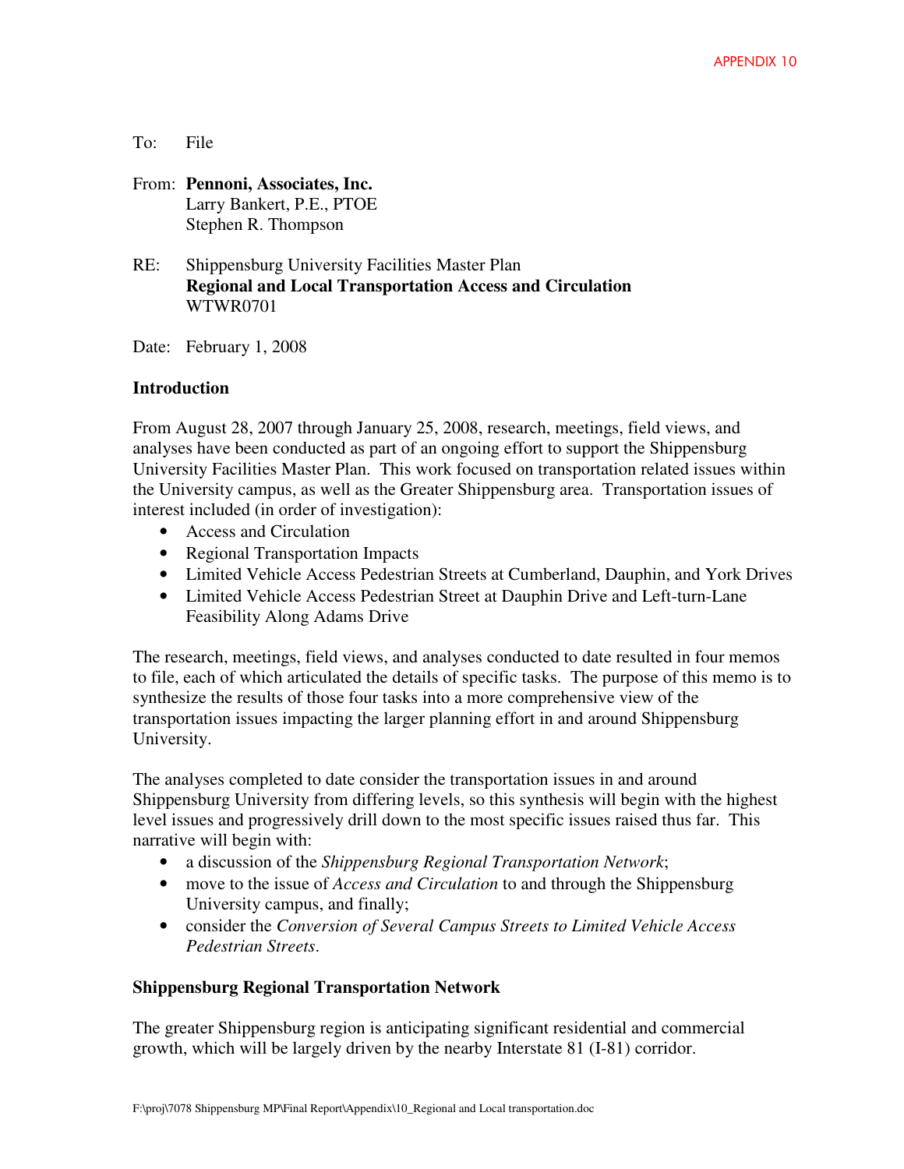#### To: File

- From: **Pennoni, Associates, Inc.** Larry Bankert, P.E., PTOE Stephen R. Thompson
- RE: Shippensburg University Facilities Master Plan **Regional and Local Transportation Access and Circulation**  WTWR0701

Date: February 1, 2008

#### **Introduction**

From August 28, 2007 through January 25, 2008, research, meetings, field views, and analyses have been conducted as part of an ongoing effort to support the Shippensburg University Facilities Master Plan. This work focused on transportation related issues within the University campus, as well as the Greater Shippensburg area. Transportation issues of interest included (in order of investigation):

- Access and Circulation
- Regional Transportation Impacts
- Limited Vehicle Access Pedestrian Streets at Cumberland, Dauphin, and York Drives
- Limited Vehicle Access Pedestrian Street at Dauphin Drive and Left-turn-Lane Feasibility Along Adams Drive

The research, meetings, field views, and analyses conducted to date resulted in four memos to file, each of which articulated the details of specific tasks. The purpose of this memo is to synthesize the results of those four tasks into a more comprehensive view of the transportation issues impacting the larger planning effort in and around Shippensburg University.

The analyses completed to date consider the transportation issues in and around Shippensburg University from differing levels, so this synthesis will begin with the highest level issues and progressively drill down to the most specific issues raised thus far. This narrative will begin with:

- a discussion of the *Shippensburg Regional Transportation Network*;
- move to the issue of *Access and Circulation* to and through the Shippensburg University campus, and finally;
- consider the *Conversion of Several Campus Streets to Limited Vehicle Access Pedestrian Streets*.

## **Shippensburg Regional Transportation Network**

The greater Shippensburg region is anticipating significant residential and commercial growth, which will be largely driven by the nearby Interstate 81 (I-81) corridor.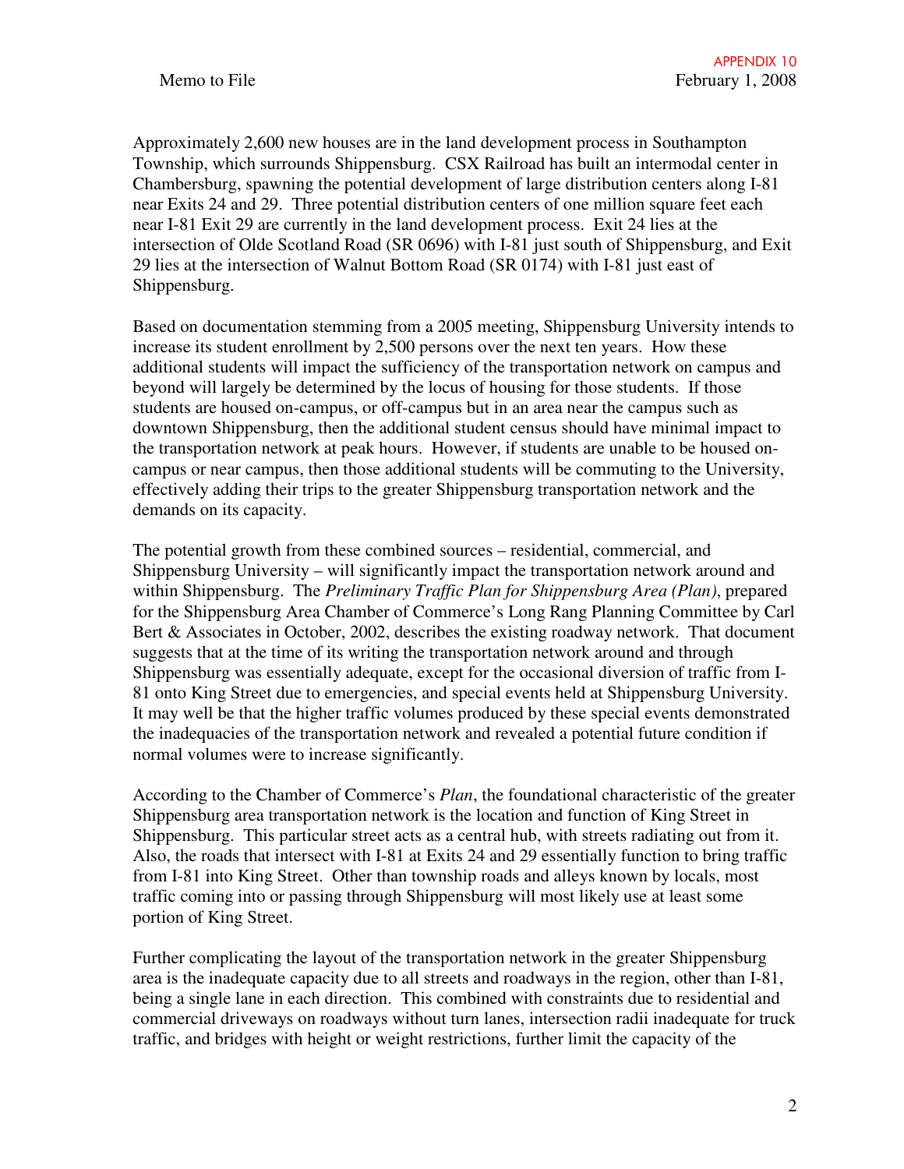Approximately 2,600 new houses are in the land development process in Southampton Township, which surrounds Shippensburg. CSX Railroad has built an intermodal center in Chambersburg, spawning the potential development of large distribution centers along I-81 near Exits 24 and 29. Three potential distribution centers of one million square feet each near I-81 Exit 29 are currently in the land development process. Exit 24 lies at the intersection of Olde Scotland Road (SR 0696) with I-81 just south of Shippensburg, and Exit 29 lies at the intersection of Walnut Bottom Road (SR 0174) with I-81 just east of Shippensburg.

Based on documentation stemming from a 2005 meeting, Shippensburg University intends to increase its student enrollment by 2,500 persons over the next ten years. How these additional students will impact the sufficiency of the transportation network on campus and beyond will largely be determined by the locus of housing for those students. If those students are housed on-campus, or off-campus but in an area near the campus such as downtown Shippensburg, then the additional student census should have minimal impact to the transportation network at peak hours. However, if students are unable to be housed oncampus or near campus, then those additional students will be commuting to the University, effectively adding their trips to the greater Shippensburg transportation network and the demands on its capacity.

The potential growth from these combined sources – residential, commercial, and Shippensburg University – will significantly impact the transportation network around and within Shippensburg. The *Preliminary Traffic Plan for Shippensburg Area (Plan)*, prepared for the Shippensburg Area Chamber of Commerce's Long Rang Planning Committee by Carl Bert & Associates in October, 2002, describes the existing roadway network. That document suggests that at the time of its writing the transportation network around and through Shippensburg was essentially adequate, except for the occasional diversion of traffic from I-81 onto King Street due to emergencies, and special events held at Shippensburg University. It may well be that the higher traffic volumes produced by these special events demonstrated the inadequacies of the transportation network and revealed a potential future condition if normal volumes were to increase significantly.

According to the Chamber of Commerce's *Plan*, the foundational characteristic of the greater Shippensburg area transportation network is the location and function of King Street in Shippensburg. This particular street acts as a central hub, with streets radiating out from it. Also, the roads that intersect with I-81 at Exits 24 and 29 essentially function to bring traffic from I-81 into King Street. Other than township roads and alleys known by locals, most traffic coming into or passing through Shippensburg will most likely use at least some portion of King Street.

Further complicating the layout of the transportation network in the greater Shippensburg area is the inadequate capacity due to all streets and roadways in the region, other than I-81, being a single lane in each direction. This combined with constraints due to residential and commercial driveways on roadways without turn lanes, intersection radii inadequate for truck traffic, and bridges with height or weight restrictions, further limit the capacity of the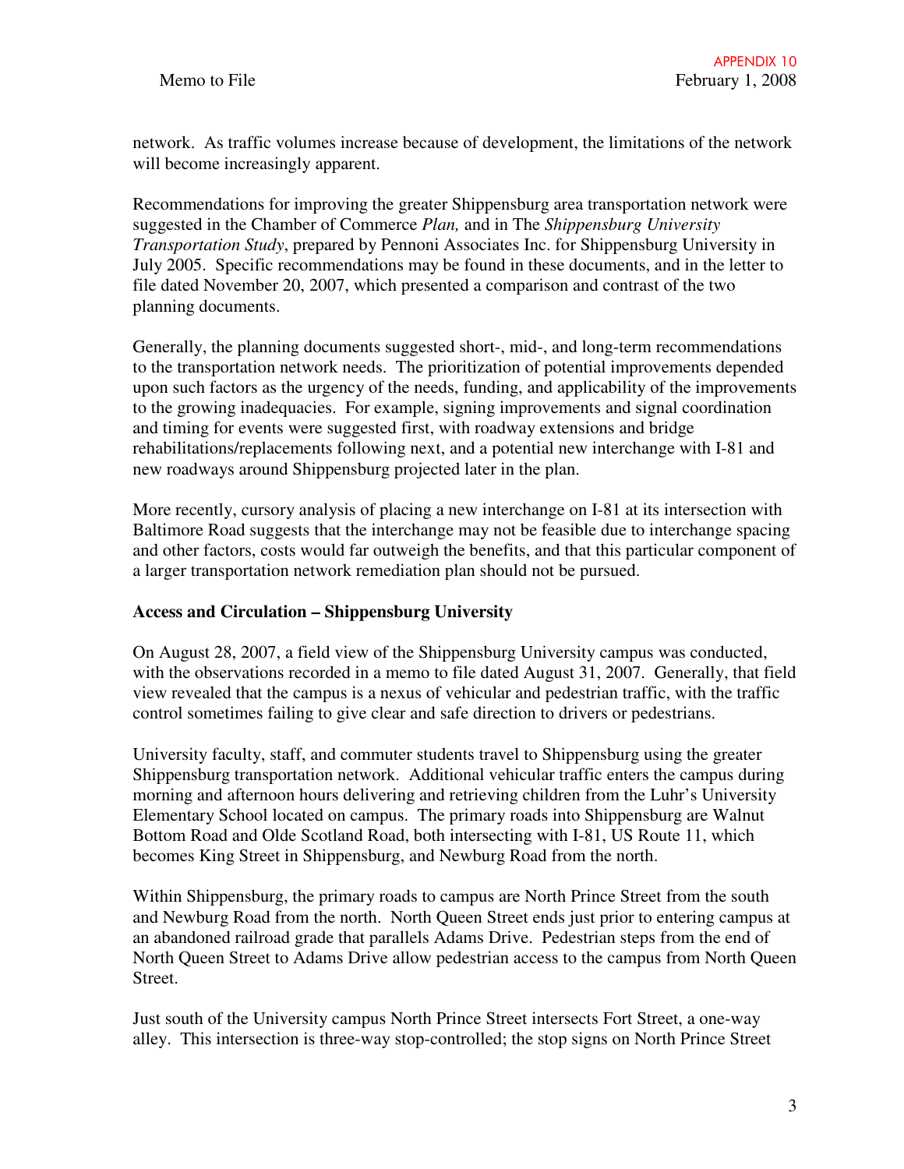network. As traffic volumes increase because of development, the limitations of the network will become increasingly apparent.

Recommendations for improving the greater Shippensburg area transportation network were suggested in the Chamber of Commerce *Plan,* and in The *Shippensburg University Transportation Study*, prepared by Pennoni Associates Inc. for Shippensburg University in July 2005. Specific recommendations may be found in these documents, and in the letter to file dated November 20, 2007, which presented a comparison and contrast of the two planning documents.

Generally, the planning documents suggested short-, mid-, and long-term recommendations to the transportation network needs. The prioritization of potential improvements depended upon such factors as the urgency of the needs, funding, and applicability of the improvements to the growing inadequacies. For example, signing improvements and signal coordination and timing for events were suggested first, with roadway extensions and bridge rehabilitations/replacements following next, and a potential new interchange with I-81 and new roadways around Shippensburg projected later in the plan.

More recently, cursory analysis of placing a new interchange on I-81 at its intersection with Baltimore Road suggests that the interchange may not be feasible due to interchange spacing and other factors, costs would far outweigh the benefits, and that this particular component of a larger transportation network remediation plan should not be pursued.

## **Access and Circulation – Shippensburg University**

On August 28, 2007, a field view of the Shippensburg University campus was conducted, with the observations recorded in a memo to file dated August 31, 2007. Generally, that field view revealed that the campus is a nexus of vehicular and pedestrian traffic, with the traffic control sometimes failing to give clear and safe direction to drivers or pedestrians.

University faculty, staff, and commuter students travel to Shippensburg using the greater Shippensburg transportation network. Additional vehicular traffic enters the campus during morning and afternoon hours delivering and retrieving children from the Luhr's University Elementary School located on campus. The primary roads into Shippensburg are Walnut Bottom Road and Olde Scotland Road, both intersecting with I-81, US Route 11, which becomes King Street in Shippensburg, and Newburg Road from the north.

Within Shippensburg, the primary roads to campus are North Prince Street from the south and Newburg Road from the north. North Queen Street ends just prior to entering campus at an abandoned railroad grade that parallels Adams Drive. Pedestrian steps from the end of North Queen Street to Adams Drive allow pedestrian access to the campus from North Queen Street.

Just south of the University campus North Prince Street intersects Fort Street, a one-way alley. This intersection is three-way stop-controlled; the stop signs on North Prince Street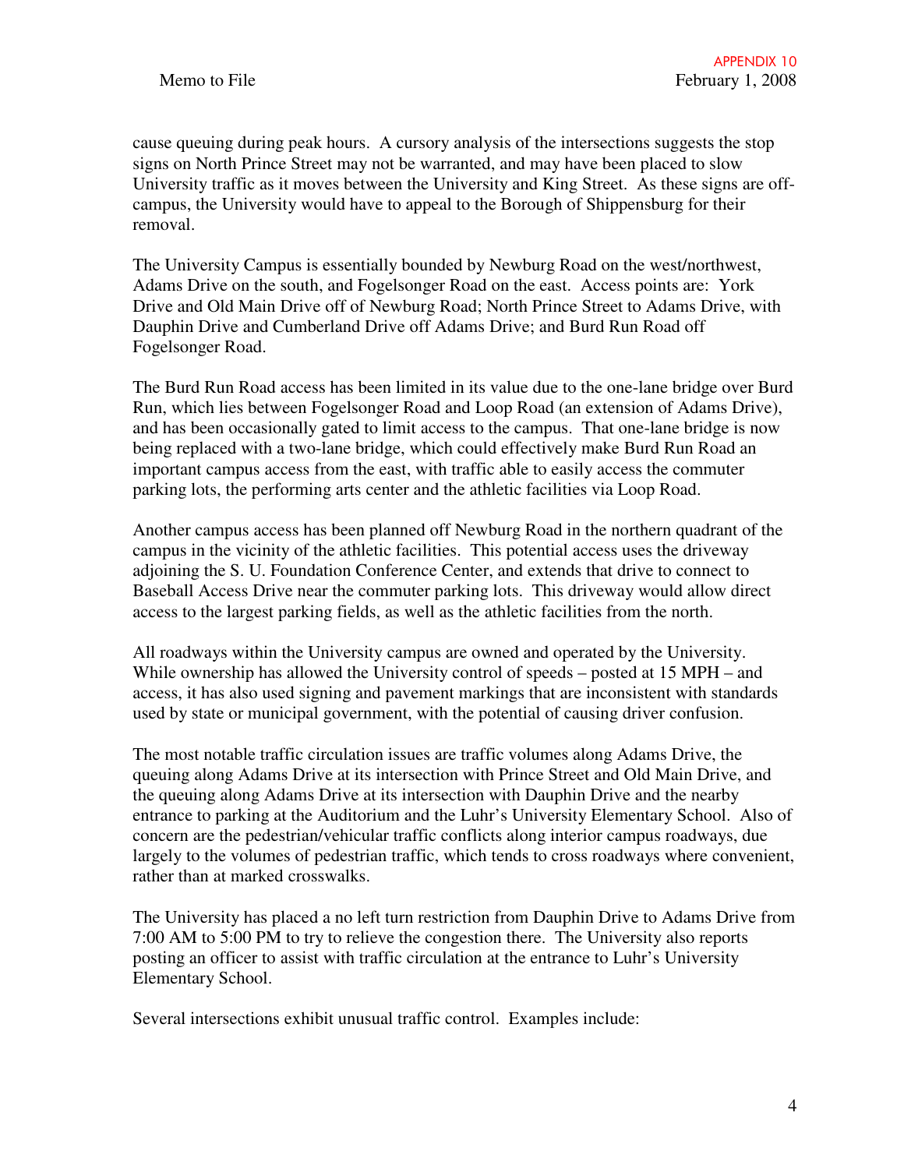cause queuing during peak hours. A cursory analysis of the intersections suggests the stop signs on North Prince Street may not be warranted, and may have been placed to slow University traffic as it moves between the University and King Street. As these signs are offcampus, the University would have to appeal to the Borough of Shippensburg for their removal.

The University Campus is essentially bounded by Newburg Road on the west/northwest, Adams Drive on the south, and Fogelsonger Road on the east. Access points are: York Drive and Old Main Drive off of Newburg Road; North Prince Street to Adams Drive, with Dauphin Drive and Cumberland Drive off Adams Drive; and Burd Run Road off Fogelsonger Road.

The Burd Run Road access has been limited in its value due to the one-lane bridge over Burd Run, which lies between Fogelsonger Road and Loop Road (an extension of Adams Drive), and has been occasionally gated to limit access to the campus. That one-lane bridge is now being replaced with a two-lane bridge, which could effectively make Burd Run Road an important campus access from the east, with traffic able to easily access the commuter parking lots, the performing arts center and the athletic facilities via Loop Road.

Another campus access has been planned off Newburg Road in the northern quadrant of the campus in the vicinity of the athletic facilities. This potential access uses the driveway adjoining the S. U. Foundation Conference Center, and extends that drive to connect to Baseball Access Drive near the commuter parking lots. This driveway would allow direct access to the largest parking fields, as well as the athletic facilities from the north.

All roadways within the University campus are owned and operated by the University. While ownership has allowed the University control of speeds – posted at 15 MPH – and access, it has also used signing and pavement markings that are inconsistent with standards used by state or municipal government, with the potential of causing driver confusion.

The most notable traffic circulation issues are traffic volumes along Adams Drive, the queuing along Adams Drive at its intersection with Prince Street and Old Main Drive, and the queuing along Adams Drive at its intersection with Dauphin Drive and the nearby entrance to parking at the Auditorium and the Luhr's University Elementary School. Also of concern are the pedestrian/vehicular traffic conflicts along interior campus roadways, due largely to the volumes of pedestrian traffic, which tends to cross roadways where convenient, rather than at marked crosswalks.

The University has placed a no left turn restriction from Dauphin Drive to Adams Drive from 7:00 AM to 5:00 PM to try to relieve the congestion there. The University also reports posting an officer to assist with traffic circulation at the entrance to Luhr's University Elementary School.

Several intersections exhibit unusual traffic control. Examples include: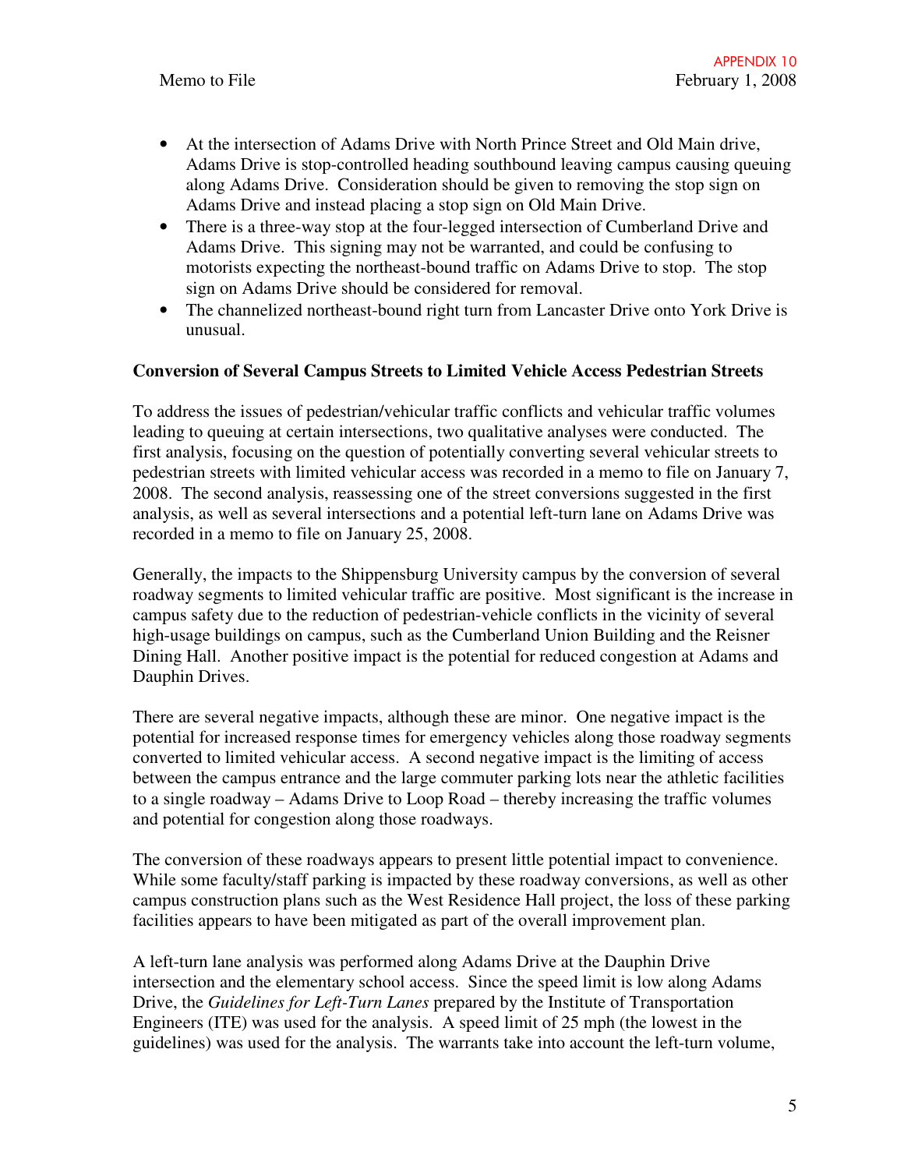- At the intersection of Adams Drive with North Prince Street and Old Main drive, Adams Drive is stop-controlled heading southbound leaving campus causing queuing along Adams Drive. Consideration should be given to removing the stop sign on Adams Drive and instead placing a stop sign on Old Main Drive.
- There is a three-way stop at the four-legged intersection of Cumberland Drive and Adams Drive. This signing may not be warranted, and could be confusing to motorists expecting the northeast-bound traffic on Adams Drive to stop. The stop sign on Adams Drive should be considered for removal.
- The channelized northeast-bound right turn from Lancaster Drive onto York Drive is unusual.

## **Conversion of Several Campus Streets to Limited Vehicle Access Pedestrian Streets**

To address the issues of pedestrian/vehicular traffic conflicts and vehicular traffic volumes leading to queuing at certain intersections, two qualitative analyses were conducted. The first analysis, focusing on the question of potentially converting several vehicular streets to pedestrian streets with limited vehicular access was recorded in a memo to file on January 7, 2008. The second analysis, reassessing one of the street conversions suggested in the first analysis, as well as several intersections and a potential left-turn lane on Adams Drive was recorded in a memo to file on January 25, 2008.

Generally, the impacts to the Shippensburg University campus by the conversion of several roadway segments to limited vehicular traffic are positive. Most significant is the increase in campus safety due to the reduction of pedestrian-vehicle conflicts in the vicinity of several high-usage buildings on campus, such as the Cumberland Union Building and the Reisner Dining Hall. Another positive impact is the potential for reduced congestion at Adams and Dauphin Drives.

There are several negative impacts, although these are minor. One negative impact is the potential for increased response times for emergency vehicles along those roadway segments converted to limited vehicular access. A second negative impact is the limiting of access between the campus entrance and the large commuter parking lots near the athletic facilities to a single roadway – Adams Drive to Loop Road – thereby increasing the traffic volumes and potential for congestion along those roadways.

The conversion of these roadways appears to present little potential impact to convenience. While some faculty/staff parking is impacted by these roadway conversions, as well as other campus construction plans such as the West Residence Hall project, the loss of these parking facilities appears to have been mitigated as part of the overall improvement plan.

A left-turn lane analysis was performed along Adams Drive at the Dauphin Drive intersection and the elementary school access. Since the speed limit is low along Adams Drive, the *Guidelines for Left-Turn Lanes* prepared by the Institute of Transportation Engineers (ITE) was used for the analysis. A speed limit of 25 mph (the lowest in the guidelines) was used for the analysis. The warrants take into account the left-turn volume,